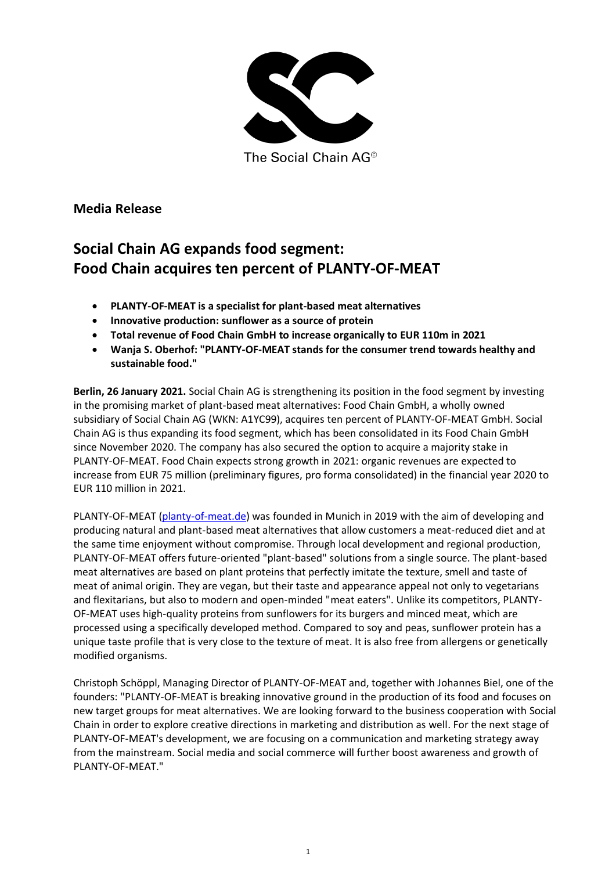

The Social Chain AG<sup>®</sup>

**Media Release**

# **Social Chain AG expands food segment: Food Chain acquires ten percent of PLANTY-OF-MEAT**

- **PLANTY-OF-MEAT is a specialist for plant-based meat alternatives**
- **Innovative production: sunflower as a source of protein**
- **Total revenue of Food Chain GmbH to increase organically to EUR 110m in 2021**
- **Wanja S. Oberhof: "PLANTY-OF-MEAT stands for the consumer trend towards healthy and sustainable food."**

**Berlin, 26 January 2021.** Social Chain AG is strengthening its position in the food segment by investing in the promising market of plant-based meat alternatives: Food Chain GmbH, a wholly owned subsidiary of Social Chain AG (WKN: A1YC99), acquires ten percent of PLANTY-OF-MEAT GmbH. Social Chain AG is thus expanding its food segment, which has been consolidated in its Food Chain GmbH since November 2020. The company has also secured the option to acquire a majority stake in PLANTY-OF-MEAT. Food Chain expects strong growth in 2021: organic revenues are expected to increase from EUR 75 million (preliminary figures, pro forma consolidated) in the financial year 2020 to EUR 110 million in 2021.

PLANTY-OF-MEAT [\(planty-of-meat.de\)](https://planty-of-meat.de/) was founded in Munich in 2019 with the aim of developing and producing natural and plant-based meat alternatives that allow customers a meat-reduced diet and at the same time enjoyment without compromise. Through local development and regional production, PLANTY-OF-MEAT offers future-oriented "plant-based" solutions from a single source. The plant-based meat alternatives are based on plant proteins that perfectly imitate the texture, smell and taste of meat of animal origin. They are vegan, but their taste and appearance appeal not only to vegetarians and flexitarians, but also to modern and open-minded "meat eaters". Unlike its competitors, PLANTY-OF-MEAT uses high-quality proteins from sunflowers for its burgers and minced meat, which are processed using a specifically developed method. Compared to soy and peas, sunflower protein has a unique taste profile that is very close to the texture of meat. It is also free from allergens or genetically modified organisms.

Christoph Schöppl, Managing Director of PLANTY-OF-MEAT and, together with Johannes Biel, one of the founders: "PLANTY-OF-MEAT is breaking innovative ground in the production of its food and focuses on new target groups for meat alternatives. We are looking forward to the business cooperation with Social Chain in order to explore creative directions in marketing and distribution as well. For the next stage of PLANTY-OF-MEAT's development, we are focusing on a communication and marketing strategy away from the mainstream. Social media and social commerce will further boost awareness and growth of PLANTY-OF-MEAT."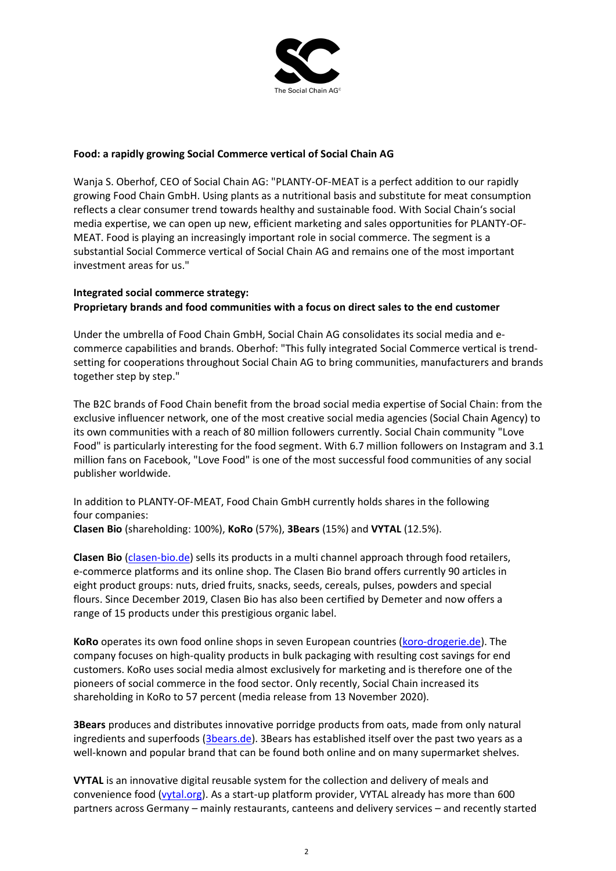

## **Food: a rapidly growing Social Commerce vertical of Social Chain AG**

Wanja S. Oberhof, CEO of Social Chain AG: "PLANTY-OF-MEAT is a perfect addition to our rapidly growing Food Chain GmbH. Using plants as a nutritional basis and substitute for meat consumption reflects a clear consumer trend towards healthy and sustainable food. With Social Chain's social media expertise, we can open up new, efficient marketing and sales opportunities for PLANTY-OF-MEAT. Food is playing an increasingly important role in social commerce. The segment is a substantial Social Commerce vertical of Social Chain AG and remains one of the most important investment areas for us."

### **Integrated social commerce strategy: Proprietary brands and food communities with a focus on direct sales to the end customer**

Under the umbrella of Food Chain GmbH, Social Chain AG consolidates its social media and ecommerce capabilities and brands. Oberhof: "This fully integrated Social Commerce vertical is trendsetting for cooperations throughout Social Chain AG to bring communities, manufacturers and brands together step by step."

The B2C brands of Food Chain benefit from the broad social media expertise of Social Chain: from the exclusive influencer network, one of the most creative social media agencies (Social Chain Agency) to its own communities with a reach of 80 million followers currently. Social Chain community "Love Food" is particularly interesting for the food segment. With 6.7 million followers on Instagram and 3.1 million fans on Facebook, "Love Food" is one of the most successful food communities of any social publisher worldwide.

In addition to PLANTY-OF-MEAT, Food Chain GmbH currently holds shares in the following four companies:

**Clasen Bio** (shareholding: 100%), **KoRo** (57%), **3Bears** (15%) and **VYTAL** (12.5%).

**Clasen Bio** [\(clasen-bio.de\)](https://clasen-bio.de/) sells its products in a multi channel approach through food retailers, e-commerce platforms and its online shop. The Clasen Bio brand offers currently 90 articles in eight product groups: nuts, dried fruits, snacks, seeds, cereals, pulses, powders and special flours. Since December 2019, Clasen Bio has also been certified by Demeter and now offers a range of 15 products under this prestigious organic label.

**KoRo** operates its own food online shops in seven European countries [\(koro-drogerie.de\)](https://www.korodrogerie.de/). The company focuses on high-quality products in bulk packaging with resulting cost savings for end customers. KoRo uses social media almost exclusively for marketing and is therefore one of the pioneers of social commerce in the food sector. Only recently, Social Chain increased its shareholding in KoRo to 57 percent (media release from 13 November 2020).

**3Bears** produces and distributes innovative porridge products from oats, made from only natural ingredients and superfoods [\(3bears.de\)](https://3bears.de/). 3Bears has established itself over the past two years as a well-known and popular brand that can be found both online and on many supermarket shelves.

**VYTAL** is an innovative digital reusable system for the collection and delivery of meals and convenience food [\(vytal.org\)](https://www.vytal.org/). As a start-up platform provider, VYTAL already has more than 600 partners across Germany – mainly restaurants, canteens and delivery services – and recently started